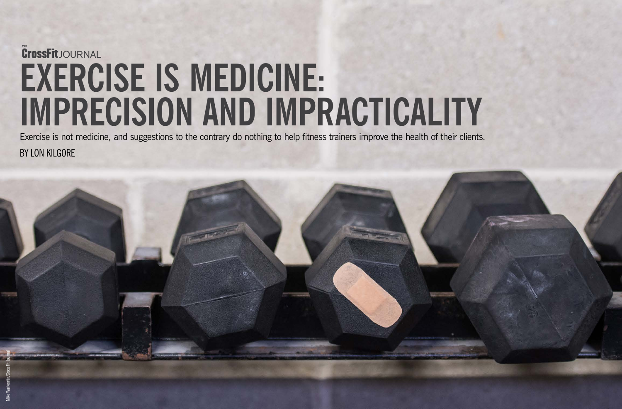



BY LON KILGORE Exercise is not medicine, and suggestions to the contrary do nothing to help fitness trainers improve the health of their clients.

# **EXERCISE IS MEDICINE: IMPRECISION AND IMPRACTICALITY THE** JOURNAL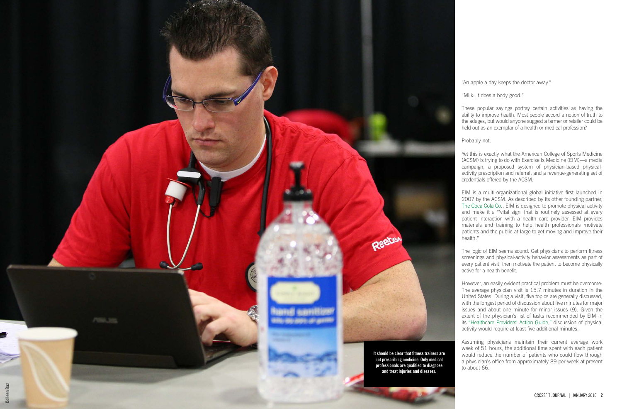"An apple a day keeps the doctor away."

"Milk: It does a body good."

These popular sayings portray certain activities as having the ability to improve health. Most people accord a notion of truth to the adages, but would anyone suggest a farmer or retailer could be held out as an exemplar of a health or medical profession?

Probably not.

Yet this is exactly what the American College of Sports Medicine (ACSM) is trying to do with Exercise Is Medicine (EIM)—a media campaign, a proposed system of physician-based physicalactivity prescription and referral, and a revenue-generating set of credentials offered by the ACSM.

EIM is a multi-organizational global initiative first launched in 2007 by the ACSM. As described by its other founding partner, [The Coca Cola Co.,](http://www.coca-colacompany.com/sustainability/meet-our-partners-american-college-of-sports-medicine-exercise-is-medicine/) EIM is designed to promote physical activity and make it a "'vital sign' that is routinely assessed at every patient interaction with a health care provider. EIM provides materials and training to help health professionals motivate patients and the public-at-large to get moving and improve their health."

The logic of EIM seems sound: Get physicians to perform fitness screenings and physical-activity behavior assessments as part of every patient visit, then motivate the patient to become physically active for a health benefit.

However, an easily evident practical problem must be overcome: The average physician visit is 15.7 minutes in duration in the United States. During a visit, five topics are generally discussed, with the longest period of discussion about five minutes for major issues and about one minute for minor issues (9). Given the extent of the physician's list of tasks recommended by EIM in its ["Healthcare Providers' Action Guide,"](http://www.exerciseismedicine.org/assets/page_documents/HCP_Action_Guide(3).pdf) discussion of physical activity would require at least five additional minutes.

Assuming physicians maintain their current average work week of 51 hours, the additional time spent with each patient would reduce the number of patients who could flow through a physician's office from approximately 89 per week at present

to about 66.

**It should be clear that fitness trainers are not prescribing medicine. Only medical professionals are qualified to diagnose and treat injuries and diseases.**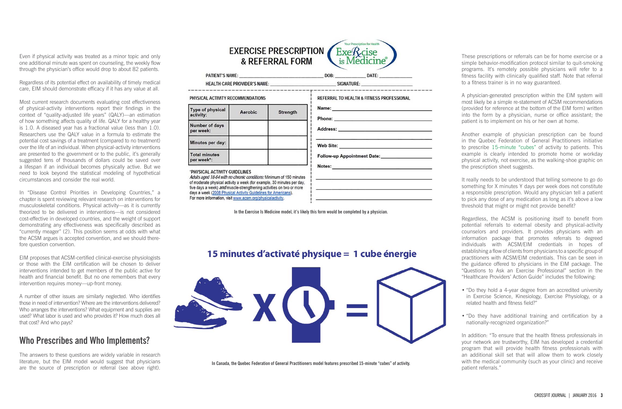Even if physical activity was treated as a minor topic and only one additional minute was spent on counseling, the weekly flow through the physician's office would drop to about 82 patients.

Regardless of its potential effect on availability of timely medical care, EIM should demonstrate efficacy if it has any value at all.

Most current research documents evaluating cost effectiveness of physical-activity interventions report their findings in the context of "quality-adjusted life years" (QALY)—an estimation of how something affects quality of life. QALY for a healthy year is 1.0. A diseased year has a fractional value (less than 1.0). Researchers use the QALY value in a formula to estimate the potential cost savings of a treatment (compared to no treatment) over the life of an individual. When physical-activity interventions are presented to the government or to the public, it's generally suggested tens of thousands of dollars could be saved over a lifespan if an individual becomes physically active. But we need to look beyond the statistical modeling of hypothetical circumstances and consider the real world.

In "Disease Control Priorities in Developing Countries," a chapter is spent reviewing relevant research on interventions for musculoskeletal conditions. Physical activity—as it is currently theorized to be delivered in interventions—is not considered cost-effective in developed countries, and the weight of support demonstrating any effectiveness was specifically described as "currently meager" (2). This position seems at odds with what the ACSM argues is accepted convention, and we should therefore question convention.

EIM proposes that ACSM-certified clinical-exercise physiologists or those with the EIM certification will be chosen to deliver interventions intended to get members of the public active for health and financial benefit. But no one remembers that every intervention requires money—up-front money.

A number of other issues are similarly neglected. Who identifies those in need of intervention? Where are the interventions delivered? Who arranges the interventions? What equipment and supplies are used? What labor is used and who provides it? How much does all that cost? And who pays?

#### **Who Prescribes and Who Implements?**

The answers to these questions are widely variable in research literature, but the EIM model would suggest that physicians are the source of prescription or referral (see above right).

**EXERCISE PRESCRIPTION**  $ExeRcise$ is Medicine® & REFERRAL FORM

**PATIENT'S NAME: HEALTH CARE PROVIDER'S NAME:** 

#### PHYSICAL ACTIVITY RECOMMENDATIONS

| Type of physical<br>activity:      | Aerobic | <b>Strength</b> |
|------------------------------------|---------|-----------------|
| Number of days<br>per week:        |         |                 |
| Minutes per day:                   |         |                 |
| <b>Total minutes</b><br>per week*: |         |                 |

#### **\*PHYSICAL ACTIVITY GUIDELINES**

Adults aged 18-64 with no chronic conditions: Minimum of 150 minutes of moderate physical activity a week (for example, 30 minutes per day, five days a week) and muscle-strengthening activities on two or more days a week (2008 Physical Activity Guidelines for Americans). For more information, visit www.acsm.org/physicalactivity.

These prescriptions or referrals can be for home exercise or a simple behavior-modification protocol similar to quit-smoking programs. It's remotely possible physicians will refer to a fitness facility with clinically qualified staff. Note that referral to a fitness trainer is in no way guaranteed.

A physician-generated prescription within the EIM system will most likely be a simple re-statement of ACSM recommendations (provided for reference at the bottom of the EIM form) written into the form by a physician, nurse or office assistant; the patient is to implement on his or her own at home.

Another example of physician prescription can be found in the Quebec Federation of General Practitioners initiative to prescribe [15-minute "cubes"](http://www.cbc.ca/news/canada/montreal/quebec-doctors-can-now-prescribe-exercise-1.3215821) of activity to patients. This example is clearly intended to promote home or workday physical activity, not exercise, as the walking-shoe graphic on the prescription sheet suggests.

It really needs to be understood that telling someone to go do something for X minutes Y days per week does not constitute a responsible prescription. Would any physician tell a patient to pick any dose of any medication as long as it's above a low threshold that might or might not provide benefit?

Regardless, the ACSM is positioning itself to benefit from potential referrals to external obesity and physical-activity counselors and providers. It provides physicians with an information package that promotes referrals to degreed individuals with ACSM/EIM credentials in hopes of establishing a flow of clients from physicians to a specific group of practitioners with ACSM/EIM credentials. This can be seen in the guidance offered to physicians in the EIM package. The "Questions to Ask an Exercise Professional" section in the "Healthcare Providers' Action Guide" includes the following:

- 
- 

• "Do they hold a 4-year degree from an accredited university in Exercise Science, Kinesiology, Exercise Physiology, or a related health and fitness field?"

• "Do they have additional training and certification by a nationally-recognized organization?"

In addition: "To ensure that the health fitness professionals in your network are trustworthy, EIM has developed a credential program that will provide health fitness professionals with an additional skill set that will allow them to work closely with the medical community (such as your clinic) and receive patient referrals."

**In the Exercise Is Medicine model, it's likely this form would be completed by a physician.**

#### REFERRAL TO HEALTH & FITNESS PROFESSIONAL Name: <u> 1980 - Johann Barn, mars an t-Amerikaansk ferske område og de s</u> Phone:

DATE:

**Web Site:** 

Address:

DOB:

Follow-up Appointment Date:

SIGNATURE:

Notes:

### 15 minutes d'activaté physique = 1 cube énergie



**In Canada, the Quebec Federation of General Practitioners model features prescribed 15-minute "cubes" of activity.**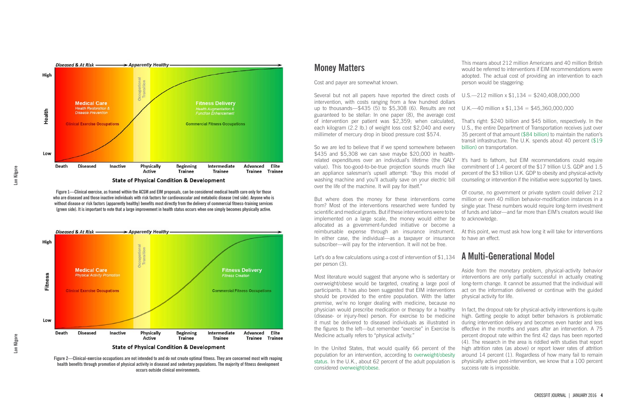#### **Money Matters**

Cost and payer are somewhat known.

Several but not all papers have reported the direct costs of U.S.—212 million x \$1,134 = \$240,408,000,000 intervention, with costs ranging from a few hundred dollars up to thousands—\$435 (5) to \$5,308 (6). Results are not guaranteed to be stellar: In one paper (8), the average cost of intervention per patient was \$2,359; when calculated, each kilogram (2.2 lb.) of weight loss cost \$2,040 and every millimeter of mercury drop in blood pressure cost \$574.

So we are led to believe that if we spend somewhere between \$435 and \$5,308 we can save maybe \$20,000 in healthrelated expenditures over an individual's lifetime (the QALY value). This too-good-to-be-true projection sounds much like an appliance salesman's upsell attempt: "Buy this model of washing machine and you'll actually save on your electric bill over the life of the machine. It will pay for itself."

But where does the money for these interventions come from? Most of the interventions researched were funded by scientific and medical grants. But if these interventions were to be implemented on a large scale, the money would either be allocated as a government-funded initiative or become a reimbursable expense through an insurance instrument. In either case, the individual—as a taxpayer or insurance subscriber—will pay for the intervention. It will not be free.

Let's do a few calculations using a cost of intervention of \$1,134 per person (3).

Most literature would suggest that anyone who is sedentary or overweight/obese would be targeted, creating a large pool of participants. It has also been suggested that EIM interventions should be provided to the entire population. With the latter premise, we're no longer dealing with medicine, because no physician would prescribe medication or therapy for a healthy (disease- or injury-free) person. For exercise to be medicine it must be delivered to diseased individuals as illustrated in the figures to the left—but remember "exercise" in Exercise Is Medicine actually refers to "physical activity."

In the United States, that would qualify 66 percent of the population for an intervention, according to [overweight/obesity](http://www.niddk.nih.gov/health-information/health-statistics/Pages/overweight-obesity-statistics.aspx) [status](http://www.niddk.nih.gov/health-information/health-statistics/Pages/overweight-obesity-statistics.aspx). In the U.K., about 62 percent of the adult population is considered [overweight/obese.](http://www.hscic.gov.uk/catalogue/PUB16988)

This means about 212 million Americans and 40 million British would be referred to interventions if EIM recommendations were adopted. The actual cost of providing an intervention to each person would be staggering:

That's right: \$240 billion and \$45 billion, respectively. In the U.S., the entire Department of Transportation receives just over 35 percent of that amount [\(\\$84 billion\)](https://www.transportation.gov/mission/budget/fy2015-budget-estimates) to maintain the nation's transit infrastructure. The U.K. spends about 40 percent [\(\\$19](http://www.ukpublicspending.co.uk/breakdown_2015UKbt_15bc5n)  [billion\)](http://www.ukpublicspending.co.uk/breakdown_2015UKbt_15bc5n) on transportation.

It's hard to fathom, but EIM recommendations could require commitment of 1.4 percent of the \$17 trillion U.S. GDP and 1.5 percent of the \$3 trillion U.K. GDP to obesity and physical-activity counseling or intervention if the initiative were supported by taxes.

Of course, no government or private system could deliver 212 million or even 40 million behavior-modification instances in a single year. These numbers would require long-term investment of funds and labor—and far more than EIM's creators would like

to acknowledge.

At this point, we must ask how long it will take for interventions to have an effect.

# **A Multi-Generational Model**

Aside from the monetary problem, physical-activity behavior interventions are only partially successful in actually creating long-term change. It cannot be assumed that the individual will act on the information delivered or continue with the guided physical activity for life.

In fact, the dropout rate for physical-activity interventions is quite high. Getting people to adopt better behaviors is problematic during intervention delivery and becomes even harder and less effective in the months and years after an intervention. A 75 percent dropout rate within the first 42 days has been reported (4). The research in the area is riddled with studies that report high attrition rates (as above) or report lower rates of attrition around 14 percent (1). Regardless of how many fail to remain physically active post-intervention, we know that a 100 percent success rate is impossible.



**Figure 1—Clinical exercise, as framed within the ACSM and EIM proposals, can be considered medical health care only for those who are diseased and those inactive individuals with risk factors for cardiovascular and metabolic disease (red side). Anyone who is without disease or risk factors (apparently healthy) benefits most directly from the delivery of commercial fitness-training services (green side). It is important to note that a large improvement in health status occurs when one simply becomes physically active.**



**Figure 2—Clinical-exercise occupations are not intended to and do not create optimal fitness. They are concerned most with reaping health benefits through promotion of physical activity in diseased and sedentary populations. The majority of fitness development occurs outside clinical environments.**

U.K.—40 million x  $$1,134 = $45,360,000,000$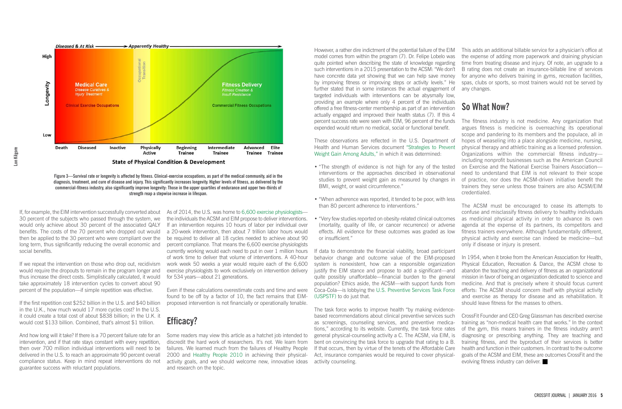If, for example, the EIM intervention successfully converted about 30 percent of the subjects who passed through the system, we would only achieve about 30 percent of the associated QALY benefits. The costs of the 70 percent who dropped out would then be applied to the 30 percent who were compliant over the long term, thus significantly reducing the overall economic and social benefits.

If we repeat the intervention on those who drop out, recidivism would require the dropouts to remain in the program longer and thus increase the direct costs. Simplistically calculated, it would take approximately 18 intervention cycles to convert about 90 percent of the population—if simple repetition was effective.

If the first repetition cost \$252 billion in the U.S. and \$40 billion in the U.K., how much would 17 more cycles cost? In the U.S. it could create a total cost of about \$838 billion; in the U.K. it would cost \$133 billion. Combined, that's almost \$1 trillion.

And how long will it take? If there is a 70 percent failure rate for an intervention, and if that rate stays constant with every repetition, then over 700 million individual interventions will need to be delivered in the U.S. to reach an approximate 90 percent overall compliance status. Keep in mind repeat interventions do not guarantee success with reluctant populations.

As of 2014, the U.S. was home to [6,600 exercise physiologists](http://www.bls.gov/oes/current/oes291128.htm) the individuals the ACSM and EIM propose to deliver interventions. If an intervention requires 10 hours of labor per individual over a 20-week intervention, then about 7 trillion labor hours would be required to deliver all 18 cycles needed to achieve about 90 percent compliance. That means the 6,600 exercise physiologists currently working would each need to put in over 1 million hours of work time to deliver that volume of interventions. A 40-hour work week 50 weeks a year would require each of the 6,600 exercise physiologists to work exclusively on intervention delivery for 534 years—about 21 generations.

Even if these calculations overestimate costs and time and were found to be off by a factor of 10, the fact remains that EIMproposed intervention is not financially or operationally tenable.

## **Efficacy?**

Some readers may view this article as a hatchet job intended to discredit the hard work of researchers. It's not. We learn from failures. We learned much from the failures of Healthy People 2000 and [Healthy People 2010](http://www.cdc.gov/nchs/data/hpdata2010/hp2010_final_review_overview.pdf) in achieving their physicalactivity goals, and we should welcome new, innovative ideas and research on the topic.

However, a rather dire indictment of the potential failure of the EIM model comes from within the program (7). Dr. Felipe Lobelo was quite pointed when describing the state of knowledge regarding such interventions in a 2015 presentation to the ACSM: "We don't have concrete data yet showing that we can help save money by improving fitness or improving steps or activity levels." He further stated that in some instances the actual engagement of targeted individuals with interventions can be abysmally low, providing an example where only 4 percent of the individuals offered a free fitness-center membership as part of an intervention actually engaged and improved their health status (7). If this 4 percent success rate were seen with EIM, 96 percent of the funds expended would return no medical, social or functional benefit.

These observations are reflected in the U.S. Department of Health and Human Services document ["Strategies to Prevent](http://effectivehealthcare.ahrq.gov/ehc/products/317/1448/weight-gain-prevention-executive-130417.pdf) [Weight Gain Among Adults,"](http://effectivehealthcare.ahrq.gov/ehc/products/317/1448/weight-gain-prevention-executive-130417.pdf) in which it was determined:

- "The strength of evidence is not high for any of the tested interventions or the approaches described in observational studies to prevent weight gain as measured by changes in BMI, weight, or waist circumference."
- "When adherence was reported, it tended to be poor, with less than 80 percent adherence to interventions."
- "Very few studies reported on obesity-related clinical outcomes (mortality, quality of life, or cancer recurrence) or adverse effects. All evidence for these outcomes was graded as low or insufficient."

If data to demonstrate the financial viability, broad participant behavior change and outcome value of the EIM-proposed system is nonexistent, how can a responsible organization justify the EIM stance and propose to add a significant—and quite possibly unaffordable—financial burden to the general population? Ethics aside, the ACSM—with support funds from Coca-Cola—is lobbying the [U.S. Preventive Services Task Force](http://www.uspreventiveservicestaskforce.org/Page/Name/about-the-uspstf)  [\(USPSTF\)](http://www.uspreventiveservicestaskforce.org/Page/Name/about-the-uspstf) to do just that.

The task force works to improve health "by making evidencebased recommendations about clinical preventive services such as screenings, counseling services, and preventive medications," according to its website. Currently, the task force rates general physical-counseling activity a C. The ACSM, via EIM, is bent on convincing the task force to upgrade that rating to a B. If that occurs, then by virtue of the tenets of the Affordable Care Act, insurance companies would be required to cover physicalactivity counseling.

This adds an additional billable service for a physician's office at the expense of adding more paperwork and draining physician time from treating disease and injury. Of note, an upgrade to a B rating does not create an insurance-billable line of services for anyone who delivers training in gyms, recreation facilities, spas, clubs or sports, so most trainers would not be served by

any changes.

# **So What Now?**

The fitness industry is not medicine. Any organization that argues fitness is medicine is overreaching its operational scope and pandering to its members and the populace, all in hopes of weaseling into a place alongside medicine, nursing, physical therapy and athletic training as a licensed profession. Organizations within the commercial fitness industry including nonprofit businesses such as the American Council on Exercise and the National Exercise Trainers Association need to understand that EIM is not relevant to their scope of practice, nor does the ACSM-driven initiative benefit the trainers they serve unless those trainers are also ACSM/EIM

credentialed.

The ACSM must be encouraged to cease its attempts to confuse and misclassify fitness delivery to healthy individuals as medicinal physical activity in order to advance its own agenda at the expense of its partners, its competitors and fitness trainers everywhere. Although fundamentally different, physical activity and exercise can indeed be medicine—but only if disease or injury is present.

In 1954, when it broke from the American Association for Health, Physical Education, Recreation & Dance, the ACSM chose to abandon the teaching and delivery of fitness as an organizational mission in favor of being an organization dedicated to science and medicine. And that is precisely where it should focus current efforts: The ACSM should concern itself with physical activity and exercise as therapy for disease and as rehabilitation. It should leave fitness for the masses to others.

CrossFit Founder and CEO Greg Glassman has described exercise training as "non-medical health care that works." In the context of the gym, this means trainers in the fitness industry aren't diagnosing or prescribing anything. They are teaching and training fitness, and the byproduct of their services is better health and function in their customers. In contrast to the outcome goals of the ACSM and EIM, these are outcomes CrossFit and the evolving fitness industry can deliver.



**Figure 3—Survival rate or longevity is affected by fitness. Clinical-exercise occupations, as part of the medical community, aid in the diagnosis, treatment, and cure of disease and injury. This significantly increases longevity. Higher levels of fitness, as delivered by the commercial-fitness industry, also significantly improve longevity: Those in the upper quartiles of endurance and upper two-thirds of strength reap a stepwise increase in lifespan.**

**Lon Kilgore**